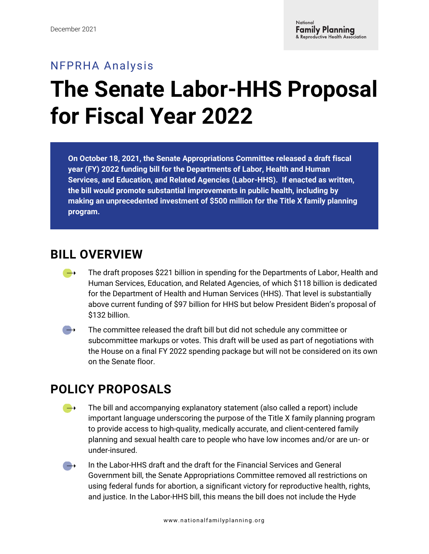## NFPRHA Analysis **The Senate Labor-HHS Proposal for Fiscal Year 2022**

**On October 18, 2021, the Senate Appropriations Committee released a draft fiscal year (FY) 2022 funding bill for the Departments of Labor, Health and Human Services, and Education, and Related Agencies (Labor-HHS). If enacted as written, the bill would promote substantial improvements in public health, including by making an unprecedented investment of \$500 million for the Title X family planning program.** 

## **BILL OVERVIEW**

- The draft proposes \$221 billion in spending for the Departments of Labor, Health and  $\rightarrow$ Human Services, Education, and Related Agencies, of which \$118 billion is dedicated for the Department of Health and Human Services (HHS). That level is substantially above current funding of \$97 billion for HHS but below President Biden's proposal of \$132 billion.
- $\rightarrow$ The committee released the draft bill but did not schedule any committee or subcommittee markups or votes. This draft will be used as part of negotiations with the House on a final FY 2022 spending package but will not be considered on its own on the Senate floor.

## **POLICY PROPOSALS**

- The bill and accompanying explanatory statement (also called a report) include  $\rightarrow$ important language underscoring the purpose of the Title X family planning program to provide access to high-quality, medically accurate, and client-centered family planning and sexual health care to people who have low incomes and/or are un- or under-insured.
- In the Labor-HHS draft and the draft for the Financial Services and General  $\rightarrow$ Government bill, the Senate Appropriations Committee removed all restrictions on using federal funds for abortion, a significant victory for reproductive health, rights, and justice. In the Labor-HHS bill, this means the bill does not include the Hyde